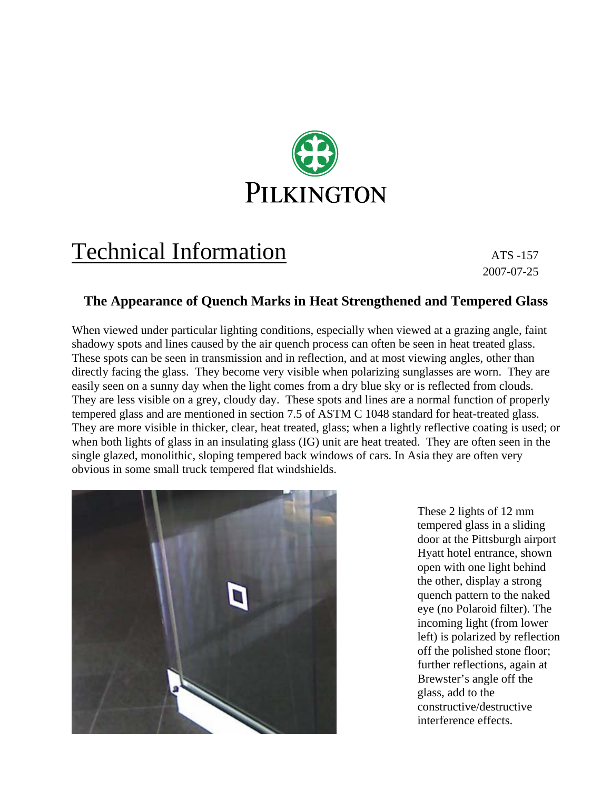

# Technical Information ATS -157

2007-07-25

### **The Appearance of Quench Marks in Heat Strengthened and Tempered Glass**

When viewed under particular lighting conditions, especially when viewed at a grazing angle, faint shadowy spots and lines caused by the air quench process can often be seen in heat treated glass. These spots can be seen in transmission and in reflection, and at most viewing angles, other than directly facing the glass. They become very visible when polarizing sunglasses are worn. They are easily seen on a sunny day when the light comes from a dry blue sky or is reflected from clouds. They are less visible on a grey, cloudy day. These spots and lines are a normal function of properly tempered glass and are mentioned in section 7.5 of ASTM C 1048 standard for heat-treated glass. They are more visible in thicker, clear, heat treated, glass; when a lightly reflective coating is used; or when both lights of glass in an insulating glass (IG) unit are heat treated. They are often seen in the single glazed, monolithic, sloping tempered back windows of cars. In Asia they are often very obvious in some small truck tempered flat windshields.



These 2 lights of 12 mm tempered glass in a sliding door at the Pittsburgh airport Hyatt hotel entrance, shown open with one light behind the other, display a strong quench pattern to the naked eye (no Polaroid filter). The incoming light (from lower left) is polarized by reflection off the polished stone floor; further reflections, again at Brewster's angle off the glass, add to the constructive/destructive interference effects.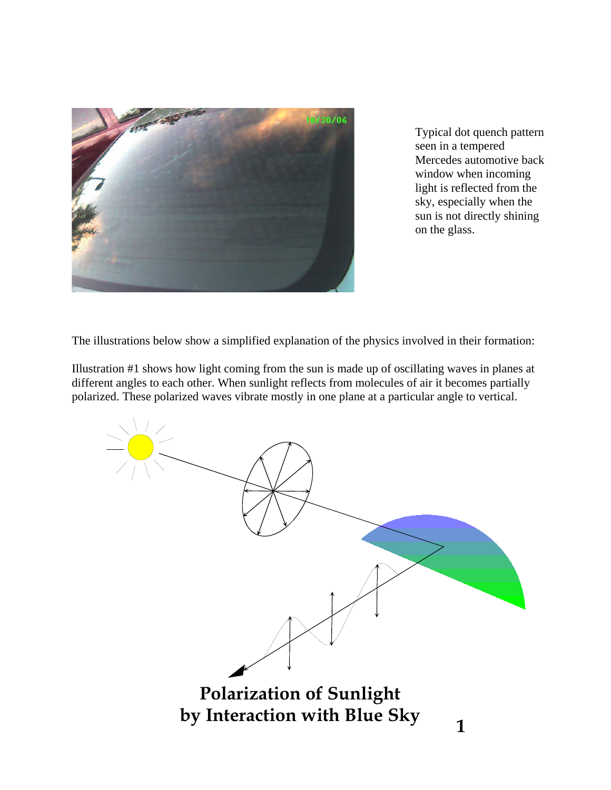

Typical dot quench pattern seen in a tempered Mercedes automotive back window when incoming light is reflected from the sky, especially when the sun is not directly shining on the glass.

The illustrations below show a simplified explanation of the physics involved in their formation:

Illustration #1 shows how light coming from the sun is made up of oscillating waves in planes at different angles to each other. When sunlight reflects from molecules of air it becomes partially polarized. These polarized waves vibrate mostly in one plane at a particular angle to vertical.

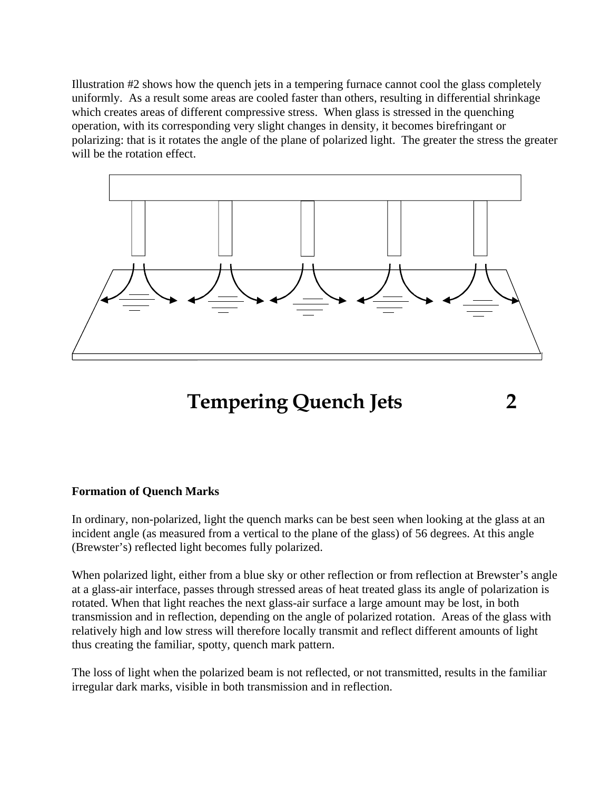Illustration #2 shows how the quench jets in a tempering furnace cannot cool the glass completely uniformly. As a result some areas are cooled faster than others, resulting in differential shrinkage which creates areas of different compressive stress. When glass is stressed in the quenching operation, with its corresponding very slight changes in density, it becomes birefringant or polarizing: that is it rotates the angle of the plane of polarized light. The greater the stress the greater will be the rotation effect.



### **Tempering Quench Jets 2**

#### **Formation of Quench Marks**

In ordinary, non-polarized, light the quench marks can be best seen when looking at the glass at an incident angle (as measured from a vertical to the plane of the glass) of 56 degrees. At this angle (Brewster's) reflected light becomes fully polarized.

When polarized light, either from a blue sky or other reflection or from reflection at Brewster's angle at a glass-air interface, passes through stressed areas of heat treated glass its angle of polarization is rotated. When that light reaches the next glass-air surface a large amount may be lost, in both transmission and in reflection, depending on the angle of polarized rotation. Areas of the glass with relatively high and low stress will therefore locally transmit and reflect different amounts of light thus creating the familiar, spotty, quench mark pattern.

The loss of light when the polarized beam is not reflected, or not transmitted, results in the familiar irregular dark marks, visible in both transmission and in reflection.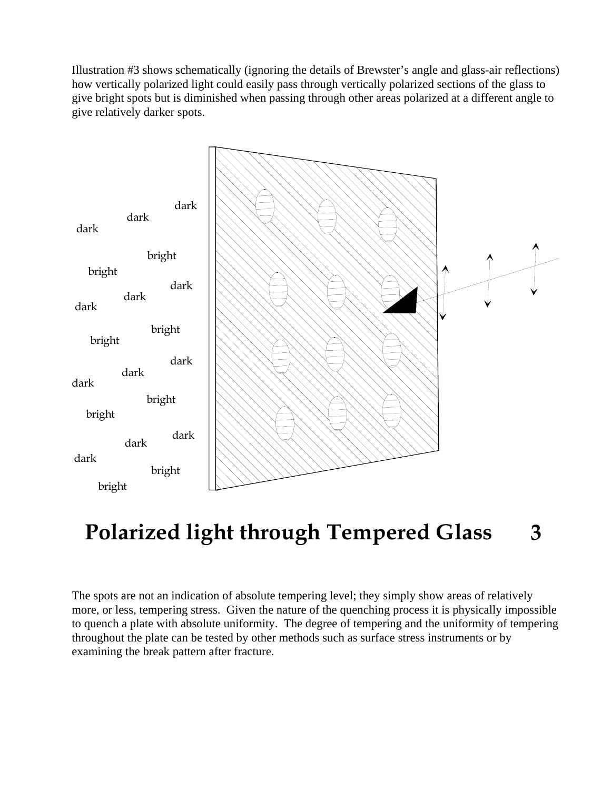Illustration #3 shows schematically (ignoring the details of Brewster's angle and glass-air reflections) how vertically polarized light could easily pass through vertically polarized sections of the glass to give bright spots but is diminished when passing through other areas polarized at a different angle to give relatively darker spots.



# **Polarized light through Tempered Glass 3**

The spots are not an indication of absolute tempering level; they simply show areas of relatively more, or less, tempering stress. Given the nature of the quenching process it is physically impossible to quench a plate with absolute uniformity. The degree of tempering and the uniformity of tempering throughout the plate can be tested by other methods such as surface stress instruments or by examining the break pattern after fracture.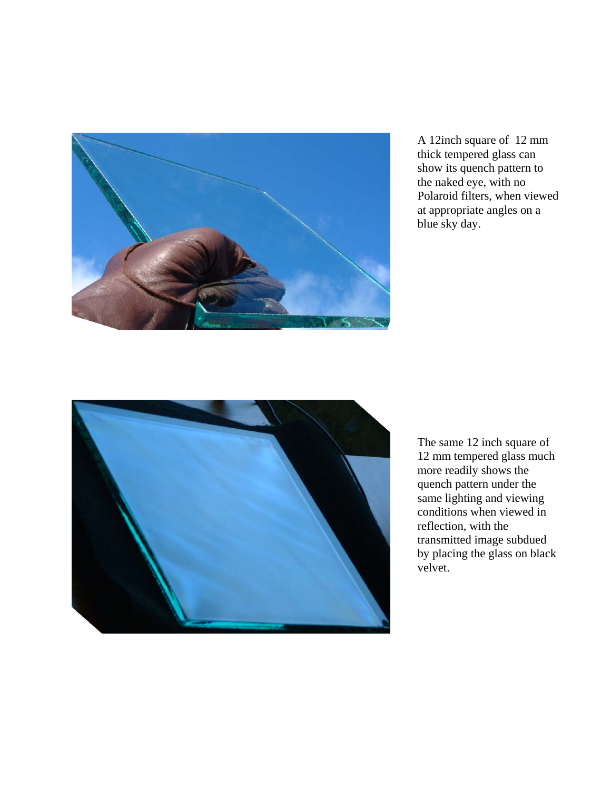

A 12inch square of 12 mm thick tempered glass can show its quench pattern to the naked eye, with no Polaroid filters, when viewed at appropriate angles on a blue sky day.



The same 12 inch square of 12 mm tempered glass much more readily shows the quench pattern under the same lighting and viewing conditions when viewed in reflection, with the transmitted image subdued by placing the glass on black velvet.